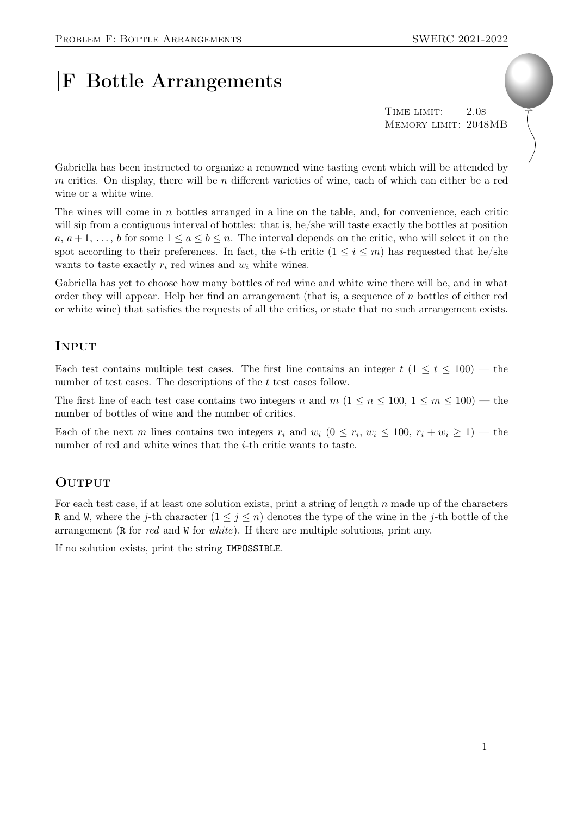# **F** Bottle Arrangements

TIME LIMIT: 2.0s Memory limit: 2048MB

Gabriella has been instructed to organize a renowned wine tasting event which will be attended by m critics. On display, there will be n different varieties of wine, each of which can either be a red wine or a white wine.

The wines will come in  $n$  bottles arranged in a line on the table, and, for convenience, each critic will sip from a contiguous interval of bottles: that is, he/she will taste exactly the bottles at position a,  $a+1, \ldots, b$  for some  $1 \le a \le b \le n$ . The interval depends on the critic, who will select it on the spot according to their preferences. In fact, the *i*-th critic  $(1 \leq i \leq m)$  has requested that he/she wants to taste exactly  $r_i$  red wines and  $w_i$  white wines.

Gabriella has yet to choose how many bottles of red wine and white wine there will be, and in what order they will appear. Help her find an arrangement (that is, a sequence of  $n$  bottles of either red or white wine) that satisfies the requests of all the critics, or state that no such arrangement exists.

#### Input

Each test contains multiple test cases. The first line contains an integer  $t$  (1  $\leq t \leq 100$ ) — the number of test cases. The descriptions of the t test cases follow.

The first line of each test case contains two integers n and  $m$   $(1 \le n \le 100, 1 \le m \le 100)$  — the number of bottles of wine and the number of critics.

Each of the next m lines contains two integers  $r_i$  and  $w_i$   $(0 \le r_i, w_i \le 100, r_i + w_i \ge 1)$  — the number of red and white wines that the *i*-th critic wants to taste.

## **OUTPUT**

For each test case, if at least one solution exists, print a string of length n made up of the characters R and W, where the j-th character  $(1 \leq j \leq n)$  denotes the type of the wine in the j-th bottle of the arrangement (R for red and W for white). If there are multiple solutions, print any.

If no solution exists, print the string IMPOSSIBLE.